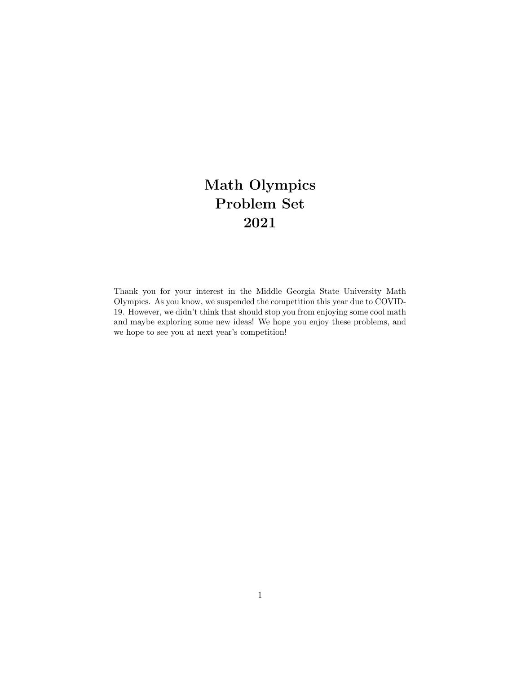## Math Olympics Problem Set 2021

Thank you for your interest in the Middle Georgia State University Math Olympics. As you know, we suspended the competition this year due to COVID-19. However, we didn't think that should stop you from enjoying some cool math and maybe exploring some new ideas! We hope you enjoy these problems, and we hope to see you at next year's competition!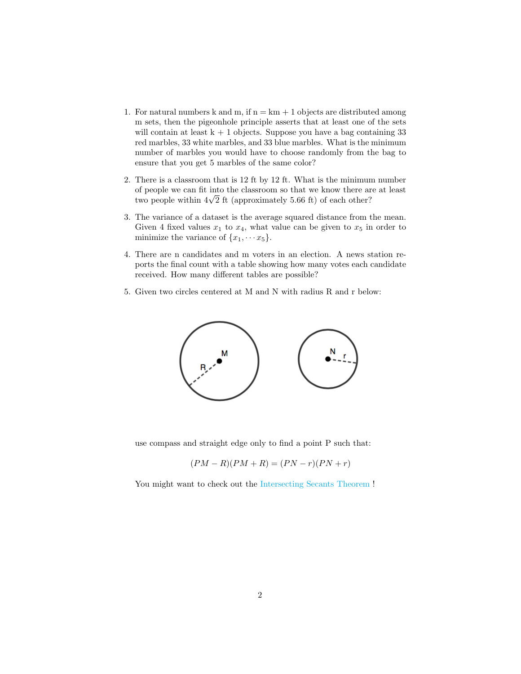- 1. For natural numbers k and m, if  $n = km + 1$  objects are distributed among m sets, then the pigeonhole principle asserts that at least one of the sets will contain at least  $k + 1$  objects. Suppose you have a bag containing 33 red marbles, 33 white marbles, and 33 blue marbles. What is the minimum number of marbles you would have to choose randomly from the bag to ensure that you get 5 marbles of the same color?
- 2. There is a classroom that is 12 ft by 12 ft. What is the minimum number of people we can fit into the classroom so that we know there are at least or people we can nt into the classroom so that we know there are two people within  $4\sqrt{2}$  ft (approximately 5.66 ft) of each other?
- 3. The variance of a dataset is the average squared distance from the mean. Given 4 fixed values  $x_1$  to  $x_4$ , what value can be given to  $x_5$  in order to minimize the variance of  $\{x_1, \dots, x_5\}$ .
- 4. There are n candidates and m voters in an election. A news station reports the final count with a table showing how many votes each candidate received. How many different tables are possible?
- 5. Given two circles centered at M and N with radius R and r below:



use compass and straight edge only to find a point P such that:

$$
(PM - R)(PM + R) = (PN - r)(PN + r)
$$

You might want to check out the [Intersecting Secants Theorem](https://en.wikipedia.org/wiki/Intersecting_secants_theorem ) !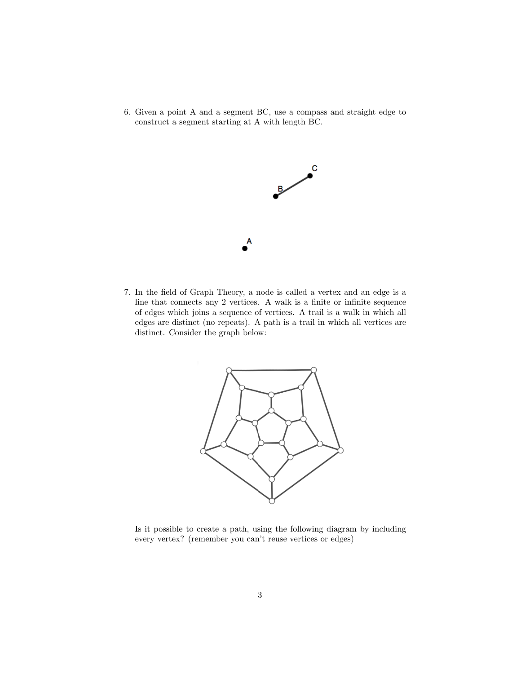6. Given a point A and a segment BC, use a compass and straight edge to construct a segment starting at A with length BC.



7. In the field of Graph Theory, a node is called a vertex and an edge is a line that connects any 2 vertices. A walk is a finite or infinite sequence of edges which joins a sequence of vertices. A trail is a walk in which all edges are distinct (no repeats). A path is a trail in which all vertices are distinct. Consider the graph below:



Is it possible to create a path, using the following diagram by including every vertex? (remember you can't reuse vertices or edges)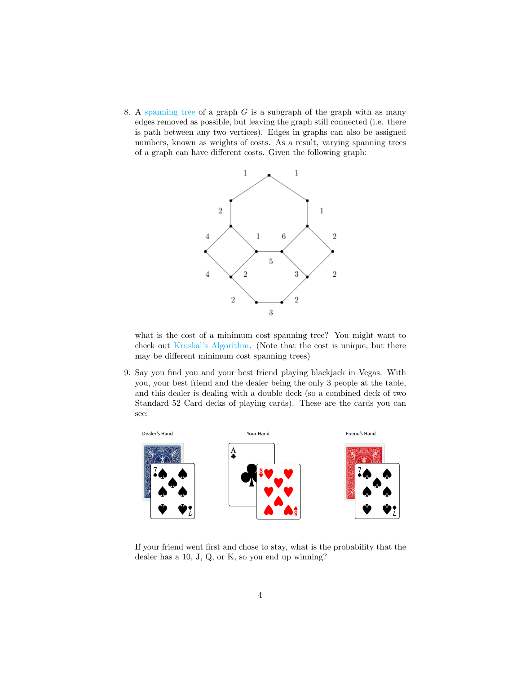8. A [spanning tree](https://mathworld.wolfram.com/SpanningTree.html) of a graph  $G$  is a subgraph of the graph with as many edges removed as possible, but leaving the graph still connected (i.e. there is path between any two vertices). Edges in graphs can also be assigned numbers, known as weights of costs. As a result, varying spanning trees of a graph can have different costs. Given the following graph:



what is the cost of a minimum cost spanning tree? You might want to check out [Kruskal's Algorithm.](https://en.wikipedia.org/wiki/Kruskal%27s_algorithm) (Note that the cost is unique, but there may be different minimum cost spanning trees)

9. Say you find you and your best friend playing blackjack in Vegas. With you, your best friend and the dealer being the only 3 people at the table, and this dealer is dealing with a double deck (so a combined deck of two Standard 52 Card decks of playing cards). These are the cards you can see:



If your friend went first and chose to stay, what is the probability that the dealer has a 10, J, Q, or K, so you end up winning?